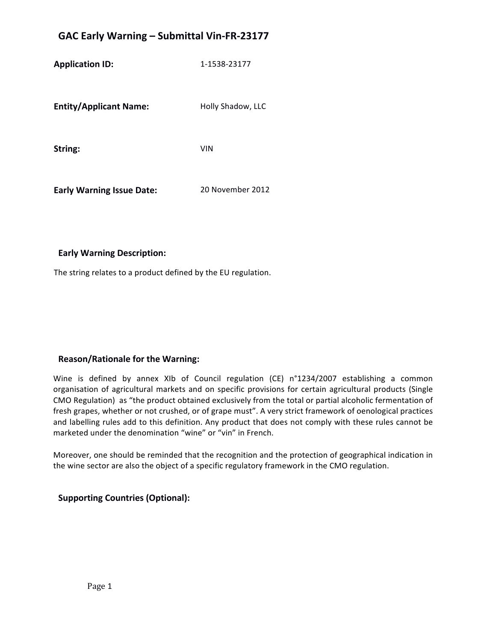# **GAC Early Warning – Submittal Vin-FR-23177**

**Application ID:** 1-1538-23177

**Entity/Applicant Name:** Holly Shadow, LLC

String: **Windows** VIN

**Early Warning Issue Date:** 20 November 2012

#### **Early Warning Description:**

The string relates to a product defined by the EU regulation.

## **Reason/Rationale for the Warning:**

Wine is defined by annex XIb of Council regulation (CE) n°1234/2007 establishing a common organisation of agricultural markets and on specific provisions for certain agricultural products (Single CMO Regulation) as "the product obtained exclusively from the total or partial alcoholic fermentation of fresh grapes, whether or not crushed, or of grape must". A very strict framework of oenological practices and labelling rules add to this definition. Any product that does not comply with these rules cannot be marketed under the denomination "wine" or "vin" in French.

Moreover, one should be reminded that the recognition and the protection of geographical indication in the wine sector are also the object of a specific regulatory framework in the CMO regulation.

#### **Supporting Countries (Optional):**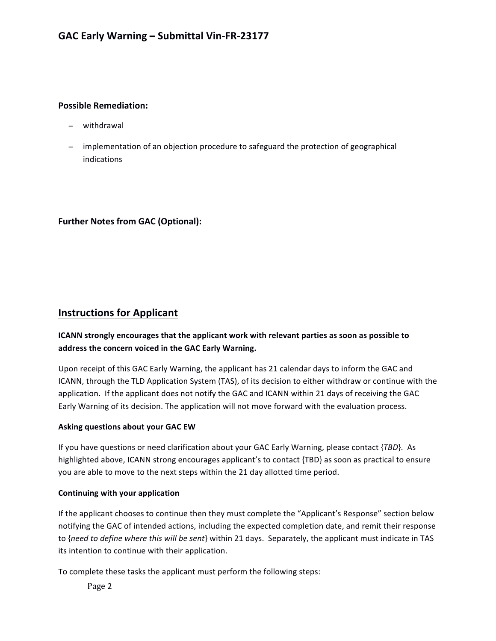### **Possible Remediation:**

- − withdrawal
- − implementation of an objection procedure to safeguard the protection of geographical indications

# **Further Notes from GAC (Optional):**

# **Instructions for Applicant**

# **ICANN** strongly encourages that the applicant work with relevant parties as soon as possible to address the concern voiced in the GAC Early Warning.

Upon receipt of this GAC Early Warning, the applicant has 21 calendar days to inform the GAC and ICANN, through the TLD Application System (TAS), of its decision to either withdraw or continue with the application. If the applicant does not notify the GAC and ICANN within 21 days of receiving the GAC Early Warning of its decision. The application will not move forward with the evaluation process.

#### **Asking questions about your GAC EW**

If you have questions or need clarification about your GAC Early Warning, please contact {*TBD*}. As highlighted above, ICANN strong encourages applicant's to contact {TBD} as soon as practical to ensure you are able to move to the next steps within the 21 day allotted time period.

#### **Continuing with your application**

If the applicant chooses to continue then they must complete the "Applicant's Response" section below notifying the GAC of intended actions, including the expected completion date, and remit their response to {need to define where this will be sent} within 21 days. Separately, the applicant must indicate in TAS its intention to continue with their application.

To complete these tasks the applicant must perform the following steps:

Page 2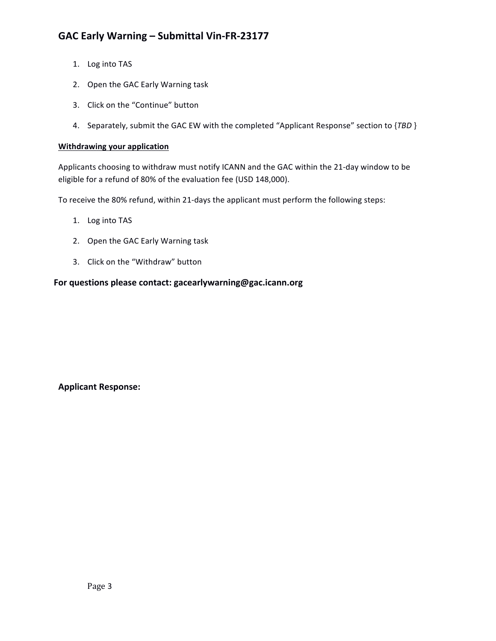# GAC Early Warning - Submittal Vin-FR-23177

- 1. Log into TAS
- 2. Open the GAC Early Warning task
- 3. Click on the "Continue" button
- 4. Separately, submit the GAC EW with the completed "Applicant Response" section to {TBD }

#### **Withdrawing your application**

Applicants choosing to withdraw must notify ICANN and the GAC within the 21-day window to be eligible for a refund of 80% of the evaluation fee (USD 148,000).

To receive the 80% refund, within 21-days the applicant must perform the following steps:

- 1. Log into TAS
- 2. Open the GAC Early Warning task
- 3. Click on the "Withdraw" button

## For questions please contact: gacearlywarning@gac.icann.org

**Applicant Response:**